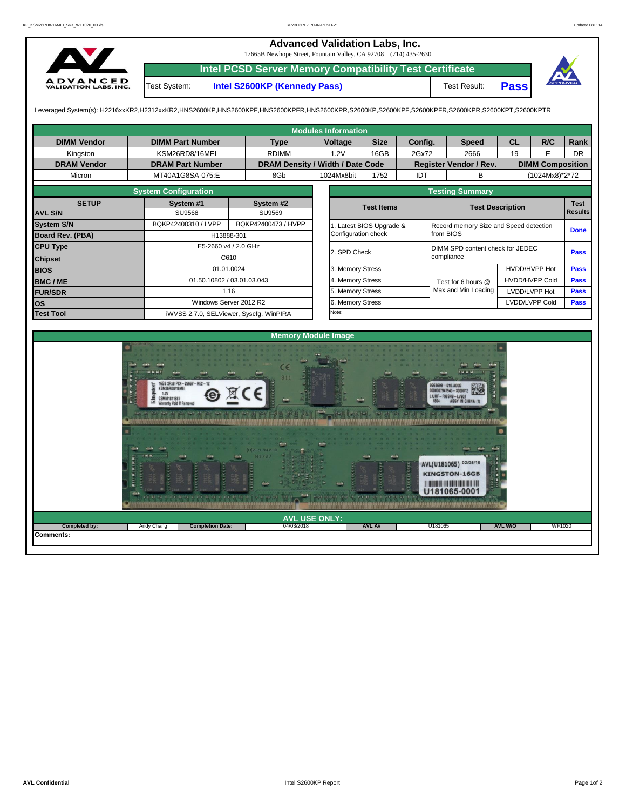## **Advanced Validation Labs, Inc.**

17665B Newhope Street, Fountain Valley, CA 92708 (714) 435-2630



**Intel PCSD Server Memory Compatibility Test Certificate**

Test System: **Intel S2600KP (Kennedy Pass)** Test Result:



**Pass**

Leveraged System(s): H2216xxKR2,H2312xxKR2,HNS2600KP,HNS2600KPF,HNS2600KPFR,HNS2600KPR,S2600KP,S2600KPF,S2600KPFR,S2600KPR,S2600KPT,S2600KPTR

|                    |                                                                                                        |                                         | <b>Modules Information</b> |                                                  |                        |                                                                                                                                            |                       |                         |                               |  |  |  |  |  |
|--------------------|--------------------------------------------------------------------------------------------------------|-----------------------------------------|----------------------------|--------------------------------------------------|------------------------|--------------------------------------------------------------------------------------------------------------------------------------------|-----------------------|-------------------------|-------------------------------|--|--|--|--|--|
| <b>DIMM Vendor</b> | <b>DIMM Part Number</b>                                                                                | <b>Type</b>                             | Voltage                    | <b>Size</b>                                      | Config.                | <b>Speed</b>                                                                                                                               | <b>CL</b>             | R/C                     | Rank                          |  |  |  |  |  |
| Kingston           | KSM26RD8/16MEI                                                                                         | <b>RDIMM</b>                            | 1.2V                       | 16GB                                             | 2Gx72                  | 2666                                                                                                                                       | 19                    | E                       | <b>DR</b>                     |  |  |  |  |  |
| <b>DRAM Vendor</b> | <b>DRAM Part Number</b>                                                                                | DRAM Density / Width / Date Code        |                            |                                                  |                        | Register Vendor / Rev.                                                                                                                     |                       | <b>DIMM Composition</b> |                               |  |  |  |  |  |
| Micron             | MT40A1G8SA-075:E                                                                                       | 8Gb                                     | 1024Mx8bit                 | 1752                                             | IDT                    | B                                                                                                                                          |                       | (1024Mx8)*2*72          |                               |  |  |  |  |  |
|                    | <b>System Configuration</b>                                                                            |                                         |                            |                                                  | <b>Testing Summary</b> |                                                                                                                                            |                       |                         |                               |  |  |  |  |  |
| <b>SETUP</b>       | System #1                                                                                              | System #2                               |                            | <b>Test Items</b>                                |                        |                                                                                                                                            |                       |                         | <b>Test</b><br><b>Results</b> |  |  |  |  |  |
| <b>AVL S/N</b>     | <b>SU9568</b>                                                                                          | SU9569                                  |                            |                                                  |                        | <b>Test Description</b>                                                                                                                    |                       |                         |                               |  |  |  |  |  |
| <b>System S/N</b>  | BQKP42400310 / LVPP                                                                                    | BQKP42400473 / HVPP                     |                            | 1. Latest BIOS Upgrade &                         |                        | Record memory Size and Speed detection                                                                                                     |                       |                         | <b>Done</b>                   |  |  |  |  |  |
| Board Rev. (PBA)   | H13888-301                                                                                             |                                         |                            | Configuration check                              |                        | from BIOS                                                                                                                                  |                       |                         |                               |  |  |  |  |  |
| <b>CPU Type</b>    |                                                                                                        | E5-2660 v4 / 2.0 GHz                    |                            | DIMM SPD content check for JEDEC<br>2. SPD Check |                        |                                                                                                                                            |                       |                         |                               |  |  |  |  |  |
| <b>Chipset</b>     |                                                                                                        | C610                                    |                            |                                                  |                        | compliance                                                                                                                                 |                       | Pass                    |                               |  |  |  |  |  |
| <b>BIOS</b>        |                                                                                                        | 01.01.0024                              |                            | 3. Memory Stress                                 |                        |                                                                                                                                            | HVDD/HVPP Hot         | Pass                    |                               |  |  |  |  |  |
| <b>BMC/ME</b>      |                                                                                                        | 01.50.10802 / 03.01.03.043              |                            | 4. Memory Stress                                 |                        | Test for 6 hours @                                                                                                                         | <b>HVDD/HVPP Cold</b> |                         | Pass                          |  |  |  |  |  |
| <b>FUR/SDR</b>     |                                                                                                        | 1.16                                    |                            | 5. Memory Stress                                 |                        | Max and Min Loading                                                                                                                        |                       | LVDD/LVPP Hot           |                               |  |  |  |  |  |
| <b>los</b>         |                                                                                                        | Windows Server 2012 R2                  |                            | 6. Memory Stress                                 |                        |                                                                                                                                            |                       | LVDD/LVPP Cold          |                               |  |  |  |  |  |
| <b>Test Tool</b>   |                                                                                                        | iWVSS 2.7.0, SELViewer, Syscfq, WinPIRA | Note:                      |                                                  |                        |                                                                                                                                            |                       |                         |                               |  |  |  |  |  |
|                    |                                                                                                        |                                         |                            |                                                  |                        |                                                                                                                                            |                       |                         |                               |  |  |  |  |  |
|                    |                                                                                                        |                                         | <b>Memory Module Image</b> |                                                  |                        |                                                                                                                                            |                       |                         |                               |  |  |  |  |  |
|                    | 16GB 2Rx8 PC4-2666V-RE2-12<br>KSM26RD8/16MEI<br>1.2V<br>CSMM1811887<br><b>Warranty Void If Remover</b> | to be a to be a following to chat       |                            |                                                  |                        | 965698-010.A00G<br>0000007947945 - S000012<br>L1JRF-F98SH9-LV9QT<br><b>ASSY IN CHINA (1</b><br>191 11 13, 191 11 13, 191 11 13, 191 11 13, |                       |                         |                               |  |  |  |  |  |
|                    |                                                                                                        |                                         |                            |                                                  |                        | AVL(U181065) 02/05/18<br><b>KINGSTON-16GB</b><br>U181065-0001                                                                              |                       |                         |                               |  |  |  |  |  |

|               |            |                         | <b>LONLY:</b><br>M<br><b>TISE</b> |        |              |                |                                |
|---------------|------------|-------------------------|-----------------------------------|--------|--------------|----------------|--------------------------------|
| Completed by: | Andy Chang | <b>Completion Date:</b> | 04/03/2018<br>.                   | AVL A# | U181065<br>. | <b>AVL W/O</b> | <b>WF1020</b><br>$\sim$ $\sim$ |

**Comments:**